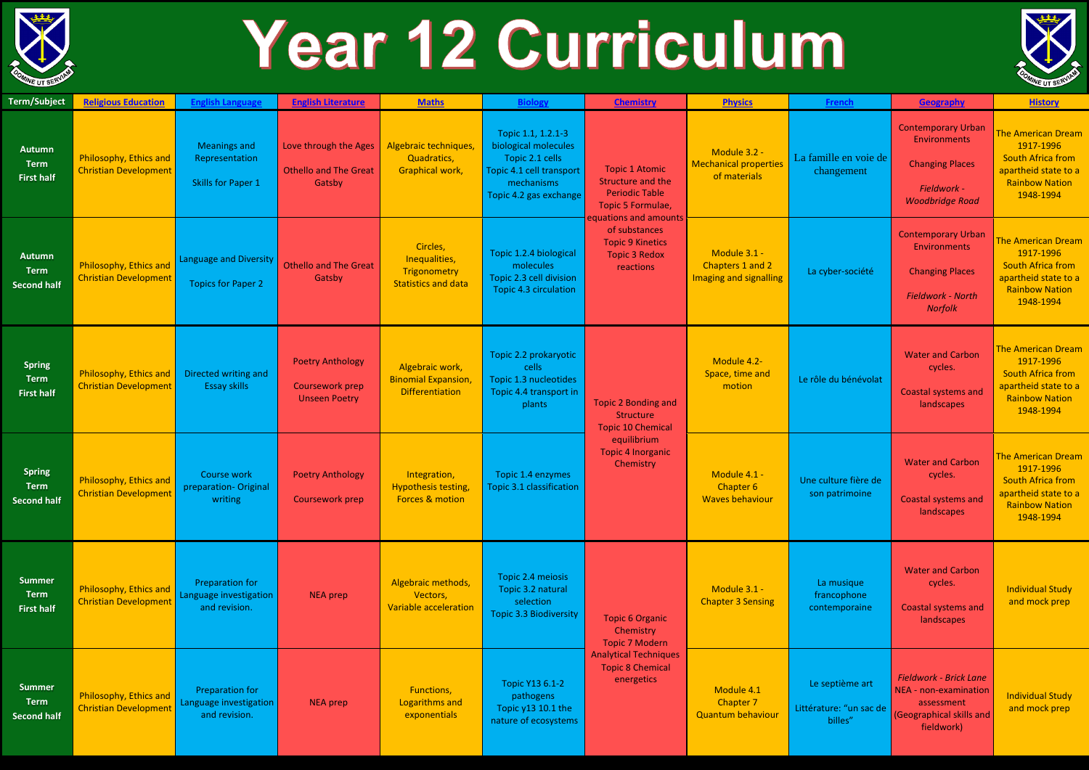

## Year 12 Curriculum

| <b>Term/Subject</b>                                | <b>Religious Education</b>                             | <b>English Language</b>                                           | <b>English Literature</b>                                          | <b>Maths</b>                                                            | <b>Biology</b>                                                                                                                    | <b>Chemistry</b>                                                                                                                                                                                   | <b>Physics</b>                                               | French                                                | Geography                                                                                                      | <b>History</b>                                                                                                                   |
|----------------------------------------------------|--------------------------------------------------------|-------------------------------------------------------------------|--------------------------------------------------------------------|-------------------------------------------------------------------------|-----------------------------------------------------------------------------------------------------------------------------------|----------------------------------------------------------------------------------------------------------------------------------------------------------------------------------------------------|--------------------------------------------------------------|-------------------------------------------------------|----------------------------------------------------------------------------------------------------------------|----------------------------------------------------------------------------------------------------------------------------------|
| <b>Autumn</b><br><b>Term</b><br><b>First half</b>  | Philosophy, Ethics and<br>Christian Development        | <b>Meanings and</b><br>Representation<br>Skills for Paper 1       | Love through the Ages<br><b>Othello and The Great</b><br>Gatsby    | Algebraic techniques,<br>Quadratics,<br>Graphical work,                 | Topic 1.1, 1.2.1-3<br>biological molecules<br>Topic 2.1 cells<br>Topic 4.1 cell transport<br>mechanisms<br>Topic 4.2 gas exchange | <b>Topic 1 Atomic</b><br>Structure and the<br><b>Periodic Table</b><br>Topic 5 Formulae,<br>equations and amounts<br>of substances<br><b>Topic 9 Kinetics</b><br><b>Topic 3 Redox</b><br>reactions | Module 3.2 -<br><b>Mechanical properties</b><br>of materials | La famille en voie de<br>changement                   | <b>Contemporary Urban</b><br>Environments<br><b>Changing Places</b><br>Fieldwork -<br><b>Woodbridge Road</b>   | <b>The American Dream</b><br>1917-1996<br><b>South Africa from</b><br>apartheid state to a<br><b>Rainbow Nation</b><br>1948-1994 |
| <b>Autumn</b><br><b>Term</b><br><b>Second half</b> | Philosophy, Ethics and<br>Christian Development        | <b>Language and Diversity</b><br><b>Topics for Paper 2</b>        | <b>Othello and The Great</b><br>Gatsby                             | Circles,<br>Inequalities,<br>Trigonometry<br><b>Statistics and data</b> | Topic 1.2.4 biological<br>molecules<br>Topic 2.3 cell division<br>Topic 4.3 circulation                                           |                                                                                                                                                                                                    | Module 3.1 -<br>Chapters 1 and 2<br>Imaging and signalling   | La cyber-société                                      | <b>Contemporary Urban</b><br>Environments<br><b>Changing Places</b><br><b>Fieldwork - North</b><br>Norfolk     | <b>The American Dream</b><br>1917-1996<br><b>South Africa from</b><br>apartheid state to a<br><b>Rainbow Nation</b><br>1948-1994 |
| <b>Spring</b><br><b>Term</b><br><b>First half</b>  | Philosophy, Ethics and<br><b>Christian Development</b> | Directed writing and<br><b>Essay skills</b>                       | <b>Poetry Anthology</b><br>Coursework prep<br><b>Unseen Poetry</b> | Algebraic work,<br><b>Binomial Expansion</b><br><b>Differentiation</b>  | Topic 2.2 prokaryotic<br>cells<br>Topic 1.3 nucleotides<br>Topic 4.4 transport in<br>plants                                       | <b>Topic 2 Bonding and</b><br>Structure<br><b>Topic 10 Chemical</b><br>equilibrium<br><b>Topic 4 Inorganic</b><br>Chemistry                                                                        | Module 4.2-<br>Space, time and<br>motion                     | Le rôle du bénévolat                                  | <b>Water and Carbon</b><br>cycles.<br><b>Coastal systems and</b><br>landscapes                                 | <b>The American Dream</b><br>1917-1996<br><b>South Africa from</b><br>apartheid state to a<br><b>Rainbow Nation</b><br>1948-1994 |
| <b>Spring</b><br><b>Term</b><br><b>Second half</b> | Philosophy, Ethics and<br><b>Christian Development</b> | Course work<br>preparation-Original<br>writing                    | <b>Poetry Anthology</b><br><b>Coursework prep</b>                  | Integration,<br><b>Hypothesis testing</b><br>Forces & motion            | Topic 1.4 enzymes<br>Topic 3.1 classification                                                                                     |                                                                                                                                                                                                    | Module 4.1 -<br>Chapter 6<br><b>Waves behaviour</b>          | Une culture fière de<br>son patrimoine                | <b>Water and Carbon</b><br>cycles.<br>Coastal systems and<br>landscapes                                        | <b>The American Dream</b><br>1917-1996<br><b>South Africa from</b><br>apartheid state to a<br><b>Rainbow Nation</b><br>1948-1994 |
| <b>Summer</b><br><b>Term</b><br><b>First half</b>  | Philosophy, Ethics and<br><b>Christian Development</b> | <b>Preparation for</b><br>Language investigation<br>and revision. | <b>NEA</b> prep                                                    | Algebraic methods,<br>Vectors,<br>Variable acceleration                 | Topic 2.4 meiosis<br>Topic 3.2 natural<br>selection<br><b>Topic 3.3 Biodiversity</b>                                              | <b>Topic 6 Organic</b><br>Chemistry<br><b>Topic 7 Modern</b><br><b>Analytical Techniques</b><br><b>Topic 8 Chemical</b><br>energetics                                                              | Module 3.1 -<br><b>Chapter 3 Sensing</b>                     | La musique<br>francophone<br>contemporaine            | <b>Water and Carbon</b><br>cycles.<br><b>Coastal systems and</b><br>landscapes                                 | <b>Individual Study</b><br>and mock prep                                                                                         |
| <b>Summer</b><br><b>Term</b><br><b>Second half</b> | Philosophy, Ethics and<br><b>Christian Development</b> | Preparation for<br>Language investigation<br>and revision.        | <b>NEA</b> prep                                                    | Functions,<br>Logarithms and<br>exponentials                            | Topic Y13 6.1-2<br>pathogens<br>Topic y13 10.1 the<br>nature of ecosystems                                                        |                                                                                                                                                                                                    | Module 4.1<br>Chapter 7<br>Quantum behaviour                 | Le septième art<br>Littérature: "un sac de<br>billes" | <b>Fieldwork - Brick Lane</b><br>NEA - non-examination<br>assessment<br>(Geographical skills and<br>fieldwork) | <b>Individual Study</b><br>and mock prep                                                                                         |